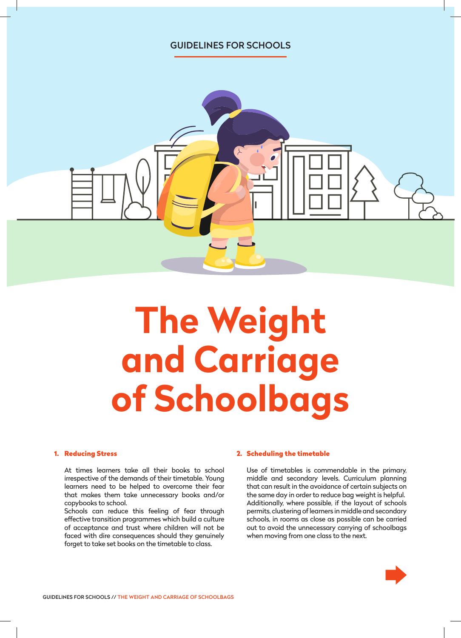# GUIDELINES FOR SCHOOLS



# **The Weight and Carriage of Schoolbags**

#### 1. Reducing Stress

At times learners take all their books to school irrespective of the demands of their timetable. Young learners need to be helped to overcome their fear that makes them take unnecessary books and/or copybooks to school.

Schools can reduce this feeling of fear through effective transition programmes which build a culture of acceptance and trust where children will not be faced with dire consequences should they genuinely forget to take set books on the timetable to class.

#### 2. Scheduling the timetable

Use of timetables is commendable in the primary, middle and secondary levels. Curriculum planning that can result in the avoidance of certain subjects on the same day in order to reduce bag weight is helpful. Additionally, where possible, if the layout of schools permits, clustering of learners in middle and secondary schools, in rooms as close as possible can be carried out to avoid the unnecessary carrying of schoolbags when moving from one class to the next.

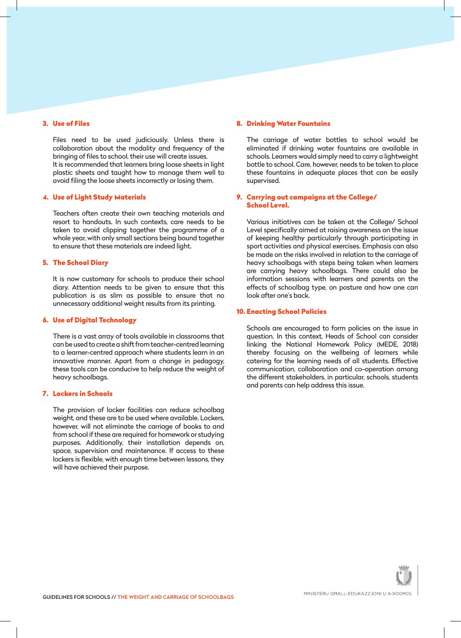#### 3. Use of Files

Files need to be used judiciously. Unless there is collaboration about the modality and frequency of the bringing of files to school, their use will create issues. It is recommended that learners bring loose sheets in light plastic sheets and taught how to manage them well to avoid filing the loose sheets incorrectly or losing them.

#### 4. Use of Light Study Materials

Teachers often create their own teaching materials and resort to handouts. In such contexts, care needs to be taken to avoid clipping together the programme of a whole year, with only small sections being bound together to ensure that these materials are indeed light.

### 5. The School Diary

It is now customary for schools to produce their school diary. Attention needs to be given to ensure that this publication is as slim as possible to ensure that no unnecessary additional weight results from its printing.

#### 6. Use of Digital Technology

There is a vast array of tools available in classrooms that can be used to create a shift from teacher-centred learning to a learner-centred approach where students learn in an innovative manner. Apart from a change in pedagogy, these tools can be conducive to help reduce the weight of heavy schoolbags.

### 7. Lockers in Schools

The provision of locker facilities can reduce schoolbag weight, and these are to be used where available. Lockers, however, will not eliminate the carriage of books to and from school if these are required for homework or studying purposes. Additionally, their installation depends on, space, supervision and maintenance. If access to these lockers is flexible, with enough time between lessons, they will have achieved their purpose.

#### 8. Drinking Water Fountains

The carriage of water bottles to school would be eliminated if drinking water fountains are available in schools. Learners would simply need to carry a lightweight bottle to school. Care, however, needs to be taken to place these fountains in adequate places that can be easily supervised.

## 9. Carrying out campaigns at the College/ School Level.

Various initiatives can be taken at the College/ School Level specifically aimed at raising awareness on the issue of keeping healthy particularly through participating in sport activities and physical exercises. Emphasis can also be made on the risks involved in relation to the carriage of heavy schoolbags with steps being taken when learners are carrying heavy schoolbags. There could also be information sessions with learners and parents on the effects of schoolbag type, on posture and how one can look after one's back.

#### 10. Enacting School Policies

Schools are encouraged to form policies on the issue in question. In this context, Heads of School can consider linking the National Homework Policy (MEDE, 2018) thereby focusing on the wellbeing of learners while catering for the learning needs of all students. Effective communication, collaboration and co-operation among the different stakeholders, in particular, schools, students and parents can help address this issue.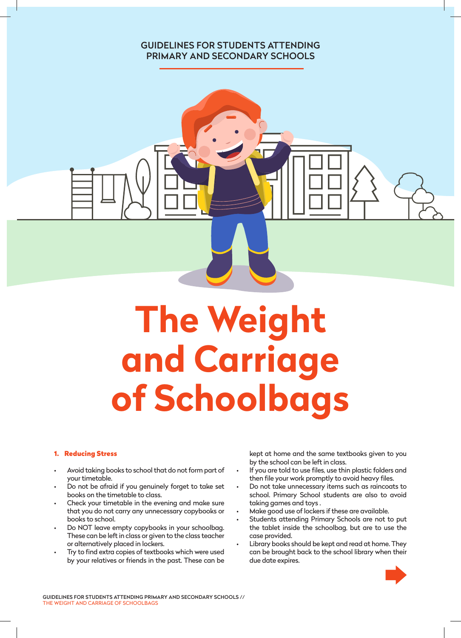# GUIDELINES FOR STUDENTS ATTENDING PRIMARY AND SECONDARY SCHOOLS



#### 1. Reducing Stress

- Avoid taking books to school that do not form part of your timetable.
- Do not be afraid if you genuinely forget to take set books on the timetable to class.
- Check your timetable in the evening and make sure that you do not carry any unnecessary copybooks or books to school.
- Do NOT leave empty copybooks in your schoolbag. These can be left in class or given to the class teacher or alternatively placed in lockers.
- Try to find extra copies of textbooks which were used by your relatives or friends in the past. These can be

kept at home and the same textbooks given to you by the school can be left in class.

- If you are told to use files, use thin plastic folders and then file your work promptly to avoid heavy files.
- Do not take unnecessary items such as raincoats to school. Primary School students are also to avoid taking games and toys .
- Make good use of lockers if these are available.
- Students attending Primary Schools are not to put the tablet inside the schoolbag, but are to use the case provided.
- Library books should be kept and read at home. They can be brought back to the school library when their due date expires.

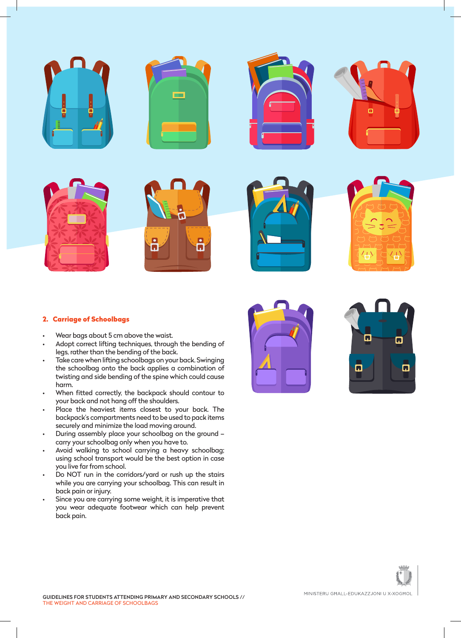

## 2. Carriage of Schoolbags

- Wear bags about 5 cm above the waist.
- Adopt correct lifting techniques, through the bending of legs, rather than the bending of the back.
- Take care when lifting schoolbags on your back. Swinging the schoolbag onto the back applies a combination of twisting and side bending of the spine which could cause harm.
- When fitted correctly, the backpack should contour to your back and not hang off the shoulders.
- Place the heaviest items closest to your back. The backpack's compartments need to be used to pack items securely and minimize the load moving around.
- During assembly place your schoolbag on the ground carry your schoolbag only when you have to.
- Avoid walking to school carrying a heavy schoolbag; using school transport would be the best option in case you live far from school.
- Do NOT run in the corridors/yard or rush up the stairs while you are carrying your schoolbag. This can result in back pain or injury.
- Since you are carrying some weight, it is imperative that you wear adequate footwear which can help prevent back pain.





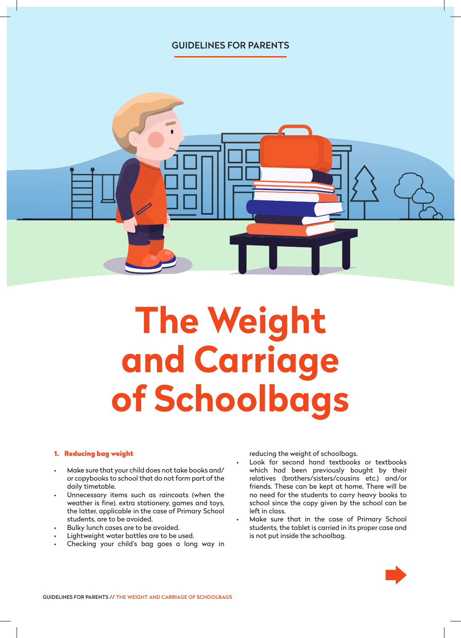# GUIDELINES FOR PARENTS



# **The Weight and Carriage of Schoolbags**

### 1. Reducing bag weight

- Make sure that your child does not take books and/ or copybooks to school that do not form part of the daily timetable.
- Unnecessary items such as raincoats (when the weather is fine), extra stationery, games and toys, the latter, applicable in the case of Primary School students, are to be avoided.
- Bulky lunch cases are to be avoided.
- Lightweight water bottles are to be used.
- Checking your child's bag goes a long way in

reducing the weight of schoolbags.

- Look for second hand textbooks or textbooks which had been previously bought by their relatives (brothers/sisters/cousins etc.) and/or friends. These can be kept at home. There will be no need for the students to carry heavy books to school since the copy given by the school can be left in class.
- Make sure that in the case of Primary School students, the tablet is carried in its proper case and is not put inside the schoolbag.